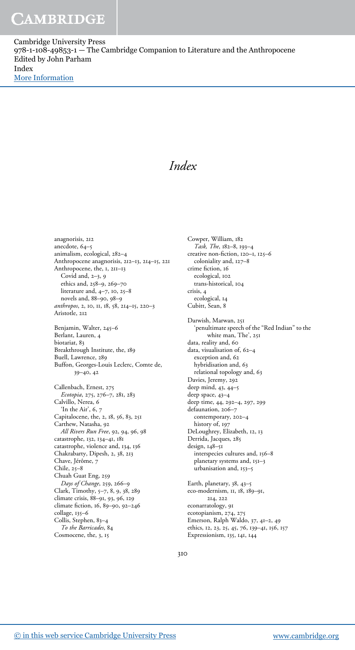Cambridge University Press 978-1-108-49853-1 — The Cambridge Companion to Literature and the Anthropocene Edited by John Parham Index [More Information](www.cambridge.org/9781108498531)

### Index

anagnorisis, 212 anecdote, 64–5 animalism, ecological, 282–4 Anthropocene anagnorisis, 212–13, 214–15, 221 Anthropocene, the, 1, 211–13 Covid and, 2–3, 9 ethics and, 258–9, 269–70 literature and, 4–7, 10, 25–8 novels and, 88–90, 98–9 anthropos, 2, 10, 11, 18, 58, 214–15, 220–3 Aristotle, 212 Benjamin, Walter, 245–6 Berlant, Lauren, 4 biotariat, 83 Breakthrough Institute, the, 189 Buell, Lawrence, 289 Buffon, Georges-Louis Leclerc, Comte de, 39–40, 42 Callenbach, Ernest, 275 Ecotopia, 275, 276–7, 281, 283 Calvillo, Nerea, 6 'In the Air', 6, 7 Capitalocene, the, 2, 18, 56, 83, 251 Carthew, Natasha, 92 All Rivers Run Free, 92, 94, 96, 98 catastrophe, 132, 134–41, 181 catastrophe, violence and, 134, 136 Chakrabarty, Dipesh, 2, 38, 213 Chave, Jérôme, 7 Chile, 25–8 Chuah Guat Eng, 259 Days of Change, 259, 266–9 Clark, Timothy, 5–7, 8, 9, 38, 289 climate crisis, 88–91, 93, 96, 129 climate fiction, 16, 89–90, 92–246 collage, 135–6 Collis, Stephen, 83–4 To the Barricades, 84 Cosmocene, the, 3, 15

Cowper, William, 182 Task, The, 182–8, 193–4 creative non-fiction, 120–1, 125–6 coloniality and, 127–8 crime fiction, 16 ecological, 102 trans-historical, 104 crisis, 4 ecological, 14 Cubitt, Sean, 8 Darwish, Marwan, 251 'penultimate speech of the "Red Indian" to the white man, The', 251 data, reality and, 60 data, visualisation of, 62–4 exception and, 62 hybridisation and, 63 relational topology and, 63 Davies, Jeremy, 292 deep mind, 43, 44–5 deep space, 43–4 deep time, 44, 292–4, 297, 299 defaunation, 206–7 contemporary, 202–4 history of, 197 DeLoughrey, Elizabeth, 12, 13 Derrida, Jacques, 285 design, 148–51 interspecies cultures and, 156–8 planetary systems and, 151–3 urbanisation and, 153–5 Earth, planetary, 38, 43–5 eco-modernism, 11, 18, 189–91, 214, 222 econarratology, 91 ecotopianism, 274, 275 Emerson, Ralph Waldo, 37, 41–2, 49 ethics, 12, 23, 25, 45, 76, 139–41, 156, 157

310

Expressionism, 135, 141, 144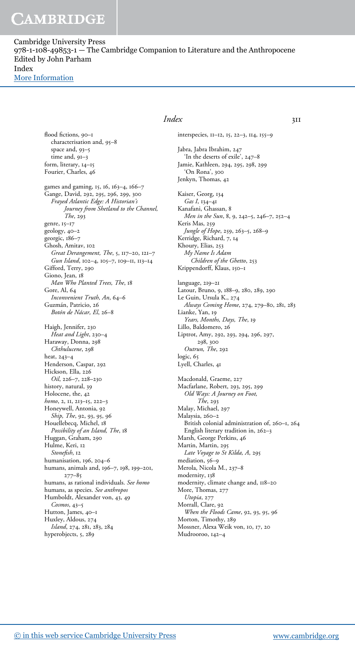Cambridge University Press 978-1-108-49853-1 — The Cambridge Companion to Literature and the Anthropocene Edited by John Parham Index [More Information](www.cambridge.org/9781108498531)

> flood fictions, 90–1 characterisation and, 95–8 space and, 93–5 time and, 91–3 form, literary, 14–15 Fourier, Charles, 46 games and gaming, 15, 16, 163–4, 166–7 Gange, David, 292, 295, 296, 299, 300 Frayed Atlantic Edge: A Historian's Journey from Shetland to the Channel, The, 293 genre, 15–17 geology, 40–2 georgic, 186–7 Ghosh, Amitav, 102 Great Derangement, The, 5, 117–20, 121–7 Gun Island, 102–4, 105–7, 109–11, 113–14 Gifford, Terry, 290 Giono, Jean, 18 Man Who Planted Trees, The, 18 Gore, Al, 64 Inconvenient Truth, An, 64–6 Guzmán, Patricio, 26 Botón de Nácar, El, 26–8 Haigh, Jennifer, 230 Heat and Light, 230–4 Haraway, Donna, 298 Chthulucene, 298 heat, 243–4 Henderson, Caspar, 292 Hickson, Ella, 226 Oil, 226–7, 228–230 history, natural, 39 Holocene, the, 42 homo, 2, 11, 213–15, 222–3 Honeywell, Antonia, 92 Ship, The, 92, 93, 95, 96 Houellebecq, Michel, 18 Possibility of an Island, The, 18 Huggan, Graham, 290 Hulme, Keri, 12 Stonefish, 12 humanisation, 196, 204–6 humans, animals and, 196–7, 198, 199–201, 277–85 humans, as rational individuals. See homo humans, as species. *See anthropos* Humboldt, Alexander von, 43, 49 Cosmos, 43–5 Hutton, James, 40–1 Huxley, Aldous, 274 Island, 274, 281, 283, 284 hyperobjects, 5, 289

#### *Index* 311

interspecies, 11–12, 15, 22–3, 114, 155–9

Jabra, Jabra Ibrahim, 247 'In the deserts of exile', 247–8 Jamie, Kathleen, 294, 295, 298, 299 'On Rona', 300 Jenkyn, Thomas, 42

Kaiser, Georg, 134 Gas I, 134–41 Kanafani, Ghassan, 8 Men in the Sun, 8, 9, 242–5, 246–7, 252–4 Keris Mas, 259 Jungle of Hope, 259, 263–5, 268–9 Kerridge, Richard, 7, 14 Khoury, Elias, 253 My Name Is Adam Children of the Ghetto, 253 Krippendorff, Klaus, 150–1

language, 219–21 Latour, Bruno, 9, 188–9, 280, 289, 290 Le Guin, Ursula K., 274 Always Coming Home, 274, 279–80, 281, 283 Lianke, Yan, 19 Years, Months, Days, The, 19 Lillo, Baldomero, 26 Liptrot, Amy, 292, 293, 294, 296, 297, 298, 300 Outrun, The, 292 logic, 65 Lyell, Charles, 41

Macdonald, Graeme, 227 Macfarlane, Robert, 293, 295, 299 Old Ways: A Journey on Foot, The, 293 Malay, Michael, 297 Malaysia, 260–2 British colonial administration of, 260–1, 264 English literary tradition in, 262–3 Marsh, George Perkins, 46 Martin, Martin, 295 Late Voyage to St Kilda, A, 295 mediation, 56-9 Merola, Nicola M., 237–8 modernity, 138 modernity, climate change and, 118–20 More, Thomas, 277 Utopia, 277 Morrall, Clare, 92 When the Floods Came, 92, 93, 95, 96 Morton, Timothy, 289 Mossner, Alexa Weik von, 10, 17, 20 Mudrooroo, 142–4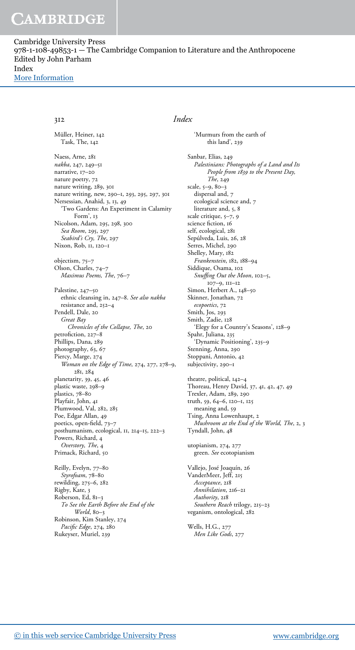Cambridge University Press 978-1-108-49853-1 — The Cambridge Companion to Literature and the Anthropocene Edited by John Parham Index [More Information](www.cambridge.org/9781108498531)

Müller, Heiner, 142 Task, The, 142 Naess, Arne, 281 nakba, 247, 249–51 narrative, 17–20 nature poetry, 72 nature writing, 289, 301 nature writing, new, 290–1, 293, 295, 297, 301 Nersessian, Anahid, 3, 13, 49 'Two Gardens: An Experiment in Calamity Form', 13 Nicolson, Adam, 295, 298, 300 Sea Room, 295, 297 Seabird's Cry, The, 297 Nixon, Rob, 11, 120–1 objectism, 75–7 Olson, Charles, 74–7 Maximus Poems, The, 76–7 Palestine, 247–50 ethnic cleansing in, 247–8. See also nakba resistance and, 252–4 Pendell, Dale, 20 Great Bay Chronicles of the Collapse, The, 20 petrofiction, 227–8 Phillips, Dana, 289 photography, 63, 67 Piercy, Marge, 274 Woman on the Edge of Time, 274, 277, 278–9, 281, 284 planetarity, 39, 45, 46 plastic waste, 298–9 plastics, 78–80 Playfair, John, 41 Plumwood, Val, 282, 285 Poe, Edgar Allan, 49 poetics, open-field, 73–7 posthumanism, ecological, 11, 214–15, 222–3 Powers, Richard, 4 Overstory, The, 4 Primack, Richard, 50 Reilly, Evelyn, 77–80 Styrofoam, 78-80 rewilding, 275–6, 282 Rigby, Kate, 3 Roberson, Ed, 81–3 To See the Earth Before the End of the World, 80-3 Robinson, Kim Stanley, 274

Pacific Edge, 274, 280 Rukeyser, Muriel, 239

#### 312 Index

'Murmurs from the earth of this land', 239 Sanbar, Elias, 249 Palestinians: Photographs of a Land and Its People from 1839 to the Present Day, The, 249 scale, 5–9, 80–3 dispersal and, 7 ecological science and, 7 literature and, 5, 8 scale critique, 5-7, 9 science fiction, 16 self, ecological, 281 Sepúlveda, Luis, 26, 28 Serres, Michel, 290 Shelley, Mary, 182 Frankenstein, 182, 188–94 Siddique, Osama, 102 Snuffing Out the Moon, 102–5, 107–9, 111–12 Simon, Herbert A., 148–50 Skinner, Jonathan, 72 ecopoetics, 72 Smith, Jos, 293 Smith, Zadie, 128 'Elegy for a Country's Seasons', 128–9 Spahr, Juliana, 235 'Dynamic Positioning', 235–9 Stenning, Anna, 290 Stoppani, Antonio, 42 subjectivity, 290–1 theatre, political, 142–4 Thoreau, Henry David, 37, 41, 42, 47, 49 Trexler, Adam, 289, 290 truth, 59, 64–6, 120–1, 125 meaning and, 59 Tsing, Anna Lowenhaupt, 2 Mushroom at the End of the World, The, 2, 3 Tyndall, John, 48 utopianism, 274, 277 green. See ecotopianism Vallejo, José Joaquín, 26 VanderMeer, Jeff, 215 Acceptance, 218 Annihilation, 216–21 Authority, 218 Southern Reach trilogy, 215-23 veganism, ontological, 282 Wells, H.G., 277 Men Like Gods, 277